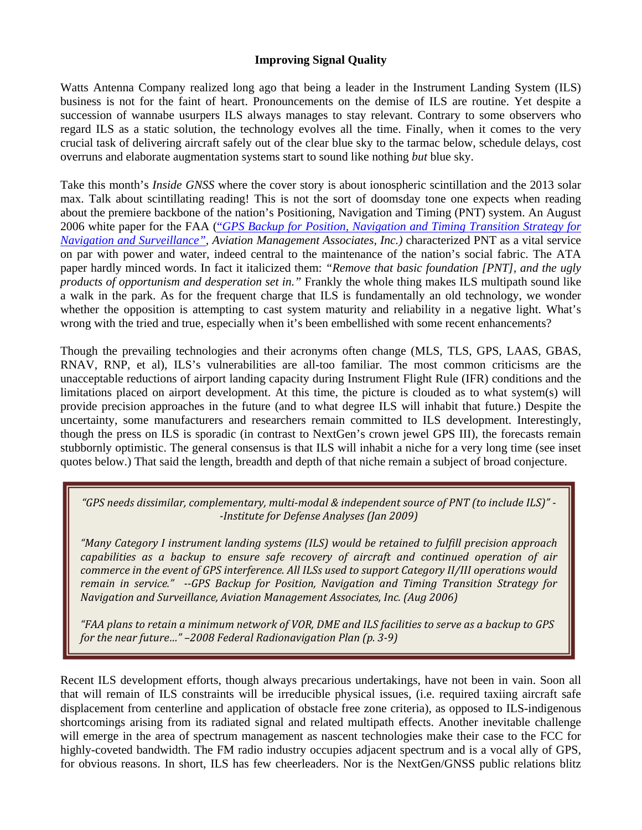## **Improving Signal Quality**

Watts Antenna Company realized long ago that being a leader in the Instrument Landing System (ILS) business is not for the faint of heart. Pronouncements on the demise of ILS are routine. Yet despite a succession of wannabe usurpers ILS always manages to stay relevant. Contrary to some observers who regard ILS as a static solution, the technology evolves all the time. Finally, when it comes to the very crucial task of delivering aircraft safely out of the clear blue sky to the tarmac below, schedule delays, cost overruns and elaborate augmentation systems start to sound like nothing *but* blue sky.

Take this month's *Inside GNSS* where the cover story is about ionospheric scintillation and the 2013 solar max. Talk about scintillating reading! This is not the sort of doomsday tone one expects when reading about the premiere backbone of the nation's Positioning, Navigation and Timing (PNT) system. An August 2006 white paper for the FAA ("*GPS Backup for Position, Navigation and Timing Transition Strategy for Navigation and Surveillance", Aviation Management Associates, Inc.)* characterized PNT as a vital service on par with power and water, indeed central to the maintenance of the nation's social fabric. The ATA paper hardly minced words. In fact it italicized them: *"Remove that basic foundation [PNT], and the ugly products of opportunism and desperation set in."* Frankly the whole thing makes ILS multipath sound like a walk in the park. As for the frequent charge that ILS is fundamentally an old technology, we wonder whether the opposition is attempting to cast system maturity and reliability in a negative light. What's wrong with the tried and true, especially when it's been embellished with some recent enhancements?

Though the prevailing technologies and their acronyms often change (MLS, TLS, GPS, LAAS, GBAS, RNAV, RNP, et al), ILS's vulnerabilities are all-too familiar. The most common criticisms are the unacceptable reductions of airport landing capacity during Instrument Flight Rule (IFR) conditions and the limitations placed on airport development. At this time, the picture is clouded as to what system(s) will provide precision approaches in the future (and to what degree ILS will inhabit that future.) Despite the uncertainty, some manufacturers and researchers remain committed to ILS development. Interestingly, though the press on ILS is sporadic (in contrast to NextGen's crown jewel GPS III), the forecasts remain stubbornly optimistic. The general consensus is that ILS will inhabit a niche for a very long time (see inset quotes below.) That said the length, breadth and depth of that niche remain a subject of broad conjecture.

*"GPS needs dissimilar, complementary, multi‐modal & independent source of PNT (to include ILS)" ‐ ‐Institute for Defense Analyses (Jan 2009)*

*"Many Category I instrument landing systems (ILS) would be retained to fulfill precision approach capabilities as a backup to ensure safe recovery of aircraft and continued operation of air commerce in the event of GPS interference. All ILSs used to support Category II/III operations would remain in service." ‐‐GPS Backup for Position, Navigation and Timing Transition Strategy for Navigation and Surveillance, Aviation Management Associates, Inc. (Aug 2006)*

"FAA plans to retain a minimum network of VOR, DME and ILS facilities to serve as a backup to GPS *for the near future…" –2008 Federal Radionavigation Plan (p. 3‐9)*

Recent ILS development efforts, though always precarious undertakings, have not been in vain. Soon all that will remain of ILS constraints will be irreducible physical issues, (i.e. required taxiing aircraft safe displacement from centerline and application of obstacle free zone criteria), as opposed to ILS-indigenous shortcomings arising from its radiated signal and related multipath effects. Another inevitable challenge will emerge in the area of spectrum management as nascent technologies make their case to the FCC for highly-coveted bandwidth. The FM radio industry occupies adjacent spectrum and is a vocal ally of GPS, for obvious reasons. In short, ILS has few cheerleaders. Nor is the NextGen/GNSS public relations blitz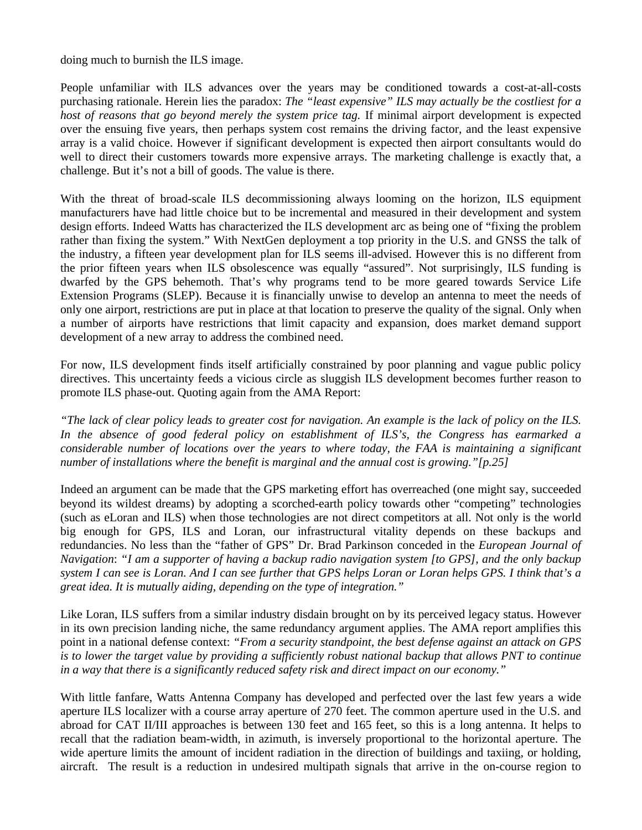doing much to burnish the ILS image.

People unfamiliar with ILS advances over the years may be conditioned towards a cost-at-all-costs purchasing rationale. Herein lies the paradox: *The "least expensive" ILS may actually be the costliest for a host of reasons that go beyond merely the system price tag.* If minimal airport development is expected over the ensuing five years, then perhaps system cost remains the driving factor, and the least expensive array is a valid choice. However if significant development is expected then airport consultants would do well to direct their customers towards more expensive arrays. The marketing challenge is exactly that, a challenge. But it's not a bill of goods. The value is there.

With the threat of broad-scale ILS decommissioning always looming on the horizon, ILS equipment manufacturers have had little choice but to be incremental and measured in their development and system design efforts. Indeed Watts has characterized the ILS development arc as being one of "fixing the problem rather than fixing the system." With NextGen deployment a top priority in the U.S. and GNSS the talk of the industry, a fifteen year development plan for ILS seems ill-advised. However this is no different from the prior fifteen years when ILS obsolescence was equally "assured". Not surprisingly, ILS funding is dwarfed by the GPS behemoth. That's why programs tend to be more geared towards Service Life Extension Programs (SLEP). Because it is financially unwise to develop an antenna to meet the needs of only one airport, restrictions are put in place at that location to preserve the quality of the signal. Only when a number of airports have restrictions that limit capacity and expansion, does market demand support development of a new array to address the combined need.

For now, ILS development finds itself artificially constrained by poor planning and vague public policy directives. This uncertainty feeds a vicious circle as sluggish ILS development becomes further reason to promote ILS phase-out. Quoting again from the AMA Report:

*"The lack of clear policy leads to greater cost for navigation. An example is the lack of policy on the ILS. In the absence of good federal policy on establishment of ILS's, the Congress has earmarked a considerable number of locations over the years to where today, the FAA is maintaining a significant number of installations where the benefit is marginal and the annual cost is growing."[p.25]* 

Indeed an argument can be made that the GPS marketing effort has overreached (one might say, succeeded beyond its wildest dreams) by adopting a scorched-earth policy towards other "competing" technologies (such as eLoran and ILS) when those technologies are not direct competitors at all. Not only is the world big enough for GPS, ILS and Loran, our infrastructural vitality depends on these backups and redundancies. No less than the "father of GPS" Dr. Brad Parkinson conceded in the *European Journal of Navigation*: *"I am a supporter of having a backup radio navigation system [to GPS], and the only backup system I can see is Loran. And I can see further that GPS helps Loran or Loran helps GPS. I think that's a great idea. It is mutually aiding, depending on the type of integration."* 

Like Loran, ILS suffers from a similar industry disdain brought on by its perceived legacy status. However in its own precision landing niche, the same redundancy argument applies. The AMA report amplifies this point in a national defense context: *"From a security standpoint, the best defense against an attack on GPS is to lower the target value by providing a sufficiently robust national backup that allows PNT to continue in a way that there is a significantly reduced safety risk and direct impact on our economy."* 

With little fanfare, Watts Antenna Company has developed and perfected over the last few years a wide aperture ILS localizer with a course array aperture of 270 feet. The common aperture used in the U.S. and abroad for CAT II/III approaches is between 130 feet and 165 feet, so this is a long antenna. It helps to recall that the radiation beam-width, in azimuth, is inversely proportional to the horizontal aperture. The wide aperture limits the amount of incident radiation in the direction of buildings and taxiing, or holding, aircraft. The result is a reduction in undesired multipath signals that arrive in the on-course region to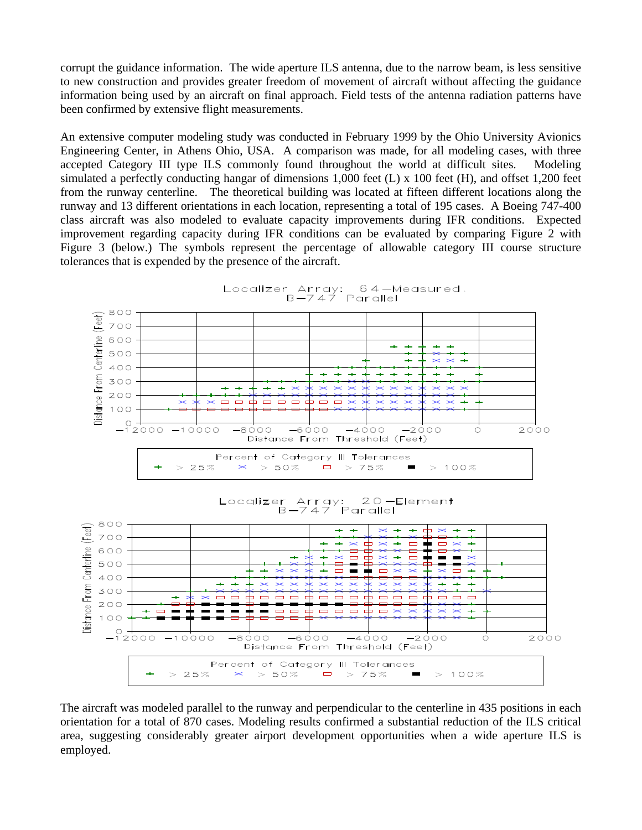corrupt the guidance information. The wide aperture ILS antenna, due to the narrow beam, is less sensitive to new construction and provides greater freedom of movement of aircraft without affecting the guidance information being used by an aircraft on final approach. Field tests of the antenna radiation patterns have been confirmed by extensive flight measurements.

An extensive computer modeling study was conducted in February 1999 by the Ohio University Avionics Engineering Center, in Athens Ohio, USA. A comparison was made, for all modeling cases, with three accepted Category III type ILS commonly found throughout the world at difficult sites. Modeling simulated a perfectly conducting hangar of dimensions 1,000 feet (L) x 100 feet (H), and offset 1,200 feet from the runway centerline. The theoretical building was located at fifteen different locations along the runway and 13 different orientations in each location, representing a total of 195 cases. A Boeing 747-400 class aircraft was also modeled to evaluate capacity improvements during IFR conditions. Expected improvement regarding capacity during IFR conditions can be evaluated by comparing Figure 2 with Figure 3 (below.) The symbols represent the percentage of allowable category III course structure tolerances that is expended by the presence of the aircraft.



The aircraft was modeled parallel to the runway and perpendicular to the centerline in 435 positions in each orientation for a total of 870 cases. Modeling results confirmed a substantial reduction of the ILS critical area, suggesting considerably greater airport development opportunities when a wide aperture ILS is employed.